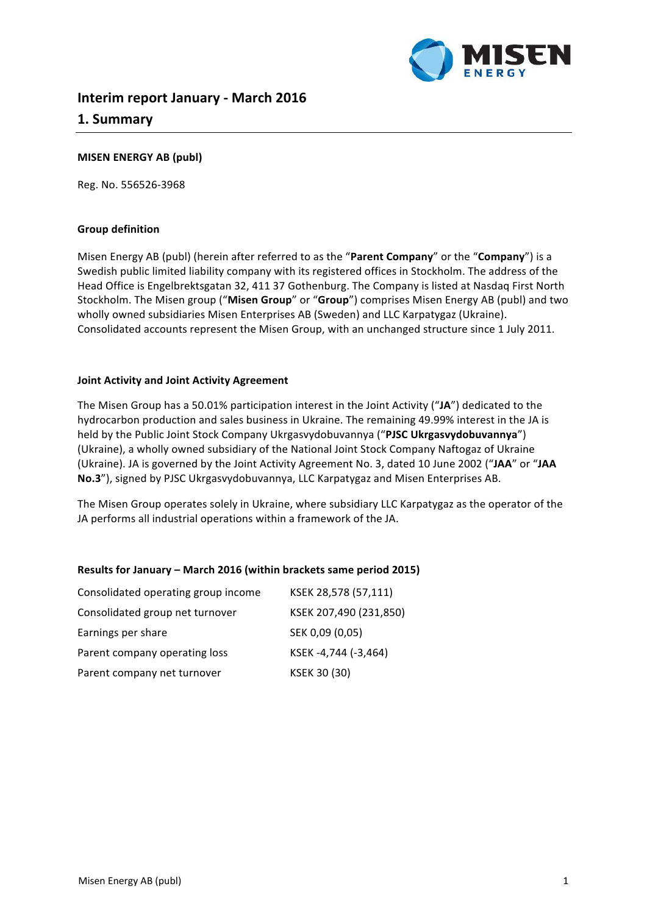

# **Interim report January - March 2016 1. Summary**

### **MISEN ENERGY AB (publ)**

Reg. No. 556526-3968

### **Group definition**

Misen Energy AB (publ) (herein after referred to as the "Parent Company" or the "Company") is a Swedish public limited liability company with its registered offices in Stockholm. The address of the Head Office is Engelbrektsgatan 32, 411 37 Gothenburg. The Company is listed at Nasdaq First North Stockholm. The Misen group ("Misen Group" or "Group") comprises Misen Energy AB (publ) and two wholly owned subsidiaries Misen Enterprises AB (Sweden) and LLC Karpatygaz (Ukraine). Consolidated accounts represent the Misen Group, with an unchanged structure since 1 July 2011.

#### **Joint Activity and Joint Activity Agreement**

The Misen Group has a 50.01% participation interest in the Joint Activity ("JA") dedicated to the hydrocarbon production and sales business in Ukraine. The remaining 49.99% interest in the JA is held by the Public Joint Stock Company Ukrgasvydobuvannya ("PJSC Ukrgasvydobuvannya") (Ukraine), a wholly owned subsidiary of the National Joint Stock Company Naftogaz of Ukraine (Ukraine). JA is governed by the Joint Activity Agreement No. 3, dated 10 June 2002 ("JAA" or "JAA No.3"), signed by PJSC Ukrgasvydobuvannya, LLC Karpatygaz and Misen Enterprises AB.

The Misen Group operates solely in Ukraine, where subsidiary LLC Karpatygaz as the operator of the JA performs all industrial operations within a framework of the JA.

### **Results for January – March 2016 (within brackets same period 2015)**

| Consolidated operating group income | KSEK 28,578 (57,111)   |
|-------------------------------------|------------------------|
| Consolidated group net turnover     | KSEK 207,490 (231,850) |
| Earnings per share                  | SEK 0,09 (0,05)        |
| Parent company operating loss       | KSEK -4,744 (-3,464)   |
| Parent company net turnover         | KSEK 30 (30)           |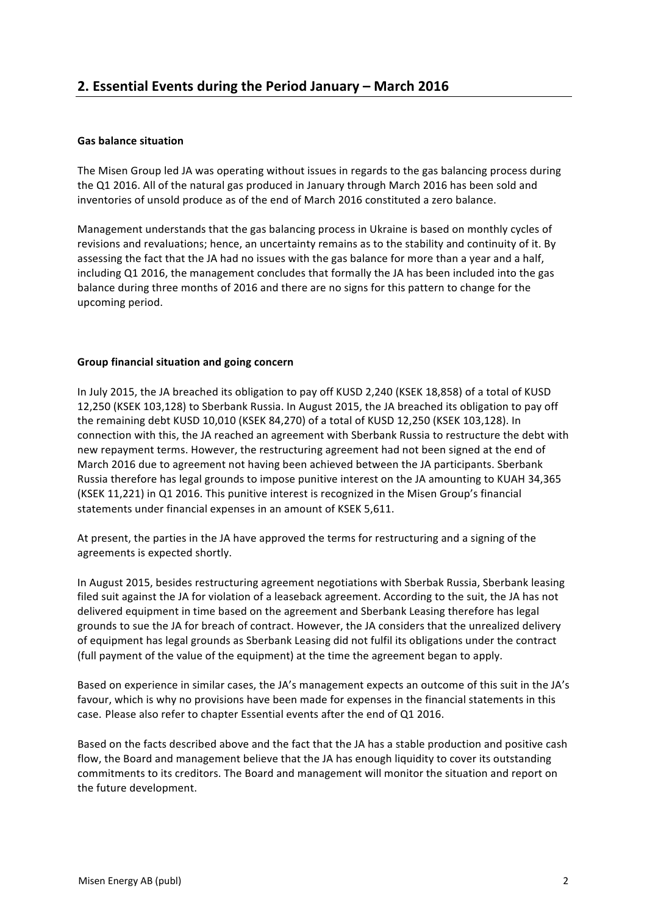### **Gas balance situation**

The Misen Group led JA was operating without issues in regards to the gas balancing process during the Q1 2016. All of the natural gas produced in January through March 2016 has been sold and inventories of unsold produce as of the end of March 2016 constituted a zero balance.

Management understands that the gas balancing process in Ukraine is based on monthly cycles of revisions and revaluations; hence, an uncertainty remains as to the stability and continuity of it. By assessing the fact that the JA had no issues with the gas balance for more than a vear and a half. including Q1 2016, the management concludes that formally the JA has been included into the gas balance during three months of 2016 and there are no signs for this pattern to change for the upcoming period.

### **Group financial situation and going concern**

In July 2015, the JA breached its obligation to pay off KUSD 2,240 (KSEK 18,858) of a total of KUSD 12,250 (KSEK 103,128) to Sberbank Russia. In August 2015, the JA breached its obligation to pay off the remaining debt KUSD 10,010 (KSEK 84,270) of a total of KUSD 12,250 (KSEK 103,128). In connection with this, the JA reached an agreement with Sberbank Russia to restructure the debt with new repayment terms. However, the restructuring agreement had not been signed at the end of March 2016 due to agreement not having been achieved between the JA participants. Sberbank Russia therefore has legal grounds to impose punitive interest on the JA amounting to KUAH 34,365 (KSEK 11,221) in Q1 2016. This punitive interest is recognized in the Misen Group's financial statements under financial expenses in an amount of KSEK 5,611.

At present, the parties in the JA have approved the terms for restructuring and a signing of the agreements is expected shortly.

In August 2015, besides restructuring agreement negotiations with Sberbak Russia, Sberbank leasing filed suit against the JA for violation of a leaseback agreement. According to the suit, the JA has not delivered equipment in time based on the agreement and Sberbank Leasing therefore has legal grounds to sue the JA for breach of contract. However, the JA considers that the unrealized delivery of equipment has legal grounds as Sberbank Leasing did not fulfil its obligations under the contract (full payment of the value of the equipment) at the time the agreement began to apply.

Based on experience in similar cases, the JA's management expects an outcome of this suit in the JA's favour, which is why no provisions have been made for expenses in the financial statements in this case. Please also refer to chapter Essential events after the end of Q1 2016.

Based on the facts described above and the fact that the JA has a stable production and positive cash flow, the Board and management believe that the JA has enough liquidity to cover its outstanding commitments to its creditors. The Board and management will monitor the situation and report on the future development.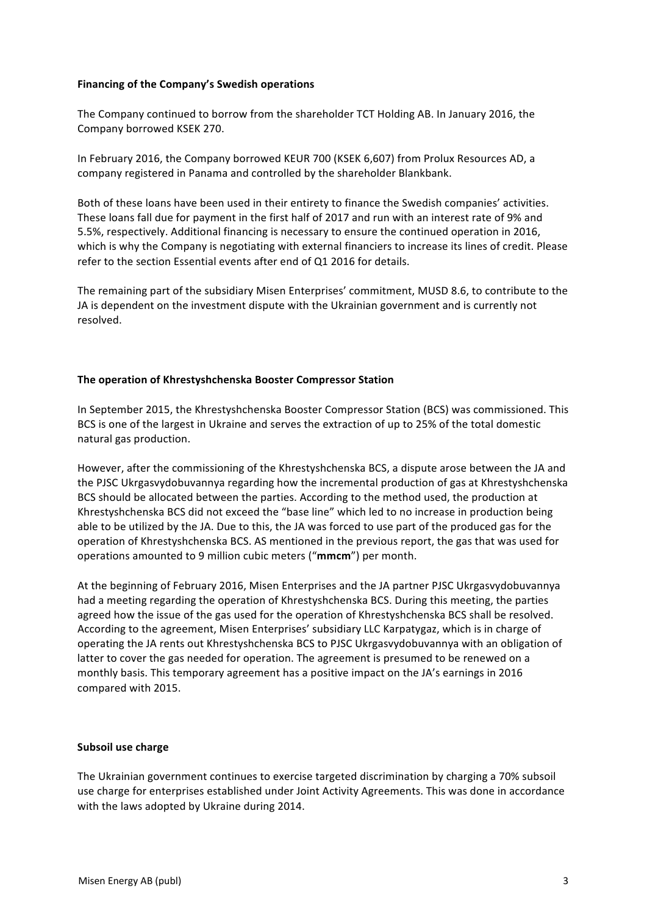#### **Financing of the Company's Swedish operations**

The Company continued to borrow from the shareholder TCT Holding AB. In January 2016, the Company borrowed KSEK 270.

In February 2016, the Company borrowed KEUR 700 (KSEK 6,607) from Prolux Resources AD, a company registered in Panama and controlled by the shareholder Blankbank.

Both of these loans have been used in their entirety to finance the Swedish companies' activities. These loans fall due for payment in the first half of 2017 and run with an interest rate of 9% and 5.5%, respectively. Additional financing is necessary to ensure the continued operation in 2016, which is why the Company is negotiating with external financiers to increase its lines of credit. Please refer to the section Essential events after end of Q1 2016 for details.

The remaining part of the subsidiary Misen Enterprises' commitment, MUSD 8.6, to contribute to the JA is dependent on the investment dispute with the Ukrainian government and is currently not resolved.

### **The operation of Khrestyshchenska Booster Compressor Station**

In September 2015, the Khrestyshchenska Booster Compressor Station (BCS) was commissioned. This BCS is one of the largest in Ukraine and serves the extraction of up to 25% of the total domestic natural gas production.

However, after the commissioning of the Khrestyshchenska BCS, a dispute arose between the JA and the PJSC Ukrgasvydobuvannya regarding how the incremental production of gas at Khrestyshchenska BCS should be allocated between the parties. According to the method used, the production at Khrestyshchenska BCS did not exceed the "base line" which led to no increase in production being able to be utilized by the JA. Due to this, the JA was forced to use part of the produced gas for the operation of Khrestyshchenska BCS. AS mentioned in the previous report, the gas that was used for operations amounted to 9 million cubic meters ("mmcm") per month.

At the beginning of February 2016, Misen Enterprises and the JA partner PJSC Ukrgasvydobuvannya had a meeting regarding the operation of Khrestyshchenska BCS. During this meeting, the parties agreed how the issue of the gas used for the operation of Khrestyshchenska BCS shall be resolved. According to the agreement, Misen Enterprises' subsidiary LLC Karpatygaz, which is in charge of operating the JA rents out Khrestyshchenska BCS to PJSC Ukrgasvydobuvannya with an obligation of latter to cover the gas needed for operation. The agreement is presumed to be renewed on a monthly basis. This temporary agreement has a positive impact on the JA's earnings in 2016 compared with 2015.

#### **Subsoil use charge**

The Ukrainian government continues to exercise targeted discrimination by charging a 70% subsoil use charge for enterprises established under Joint Activity Agreements. This was done in accordance with the laws adopted by Ukraine during 2014.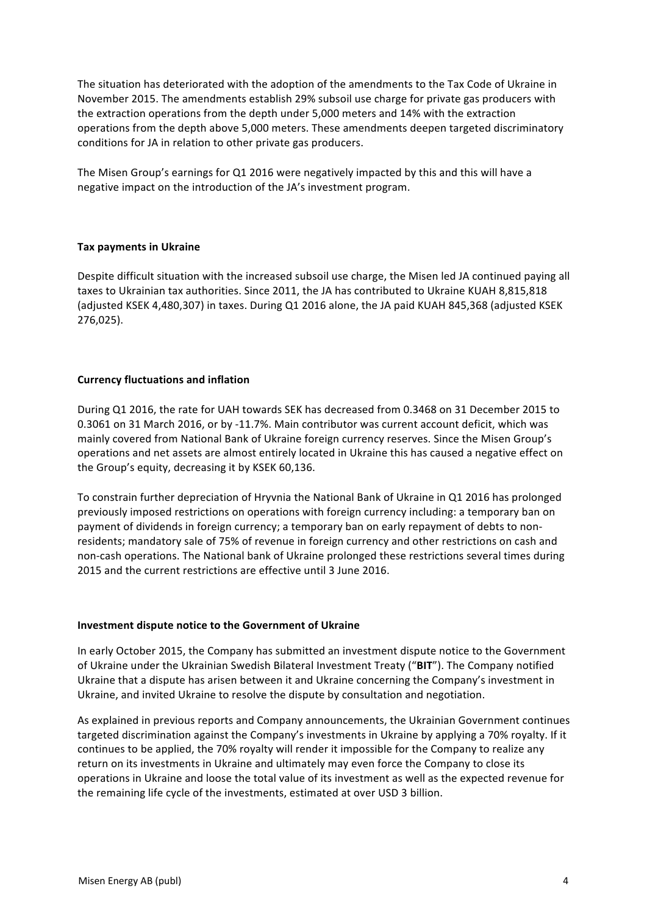The situation has deteriorated with the adoption of the amendments to the Tax Code of Ukraine in November 2015. The amendments establish 29% subsoil use charge for private gas producers with the extraction operations from the depth under 5,000 meters and 14% with the extraction operations from the depth above 5,000 meters. These amendments deepen targeted discriminatory conditions for JA in relation to other private gas producers.

The Misen Group's earnings for Q1 2016 were negatively impacted by this and this will have a negative impact on the introduction of the JA's investment program.

### **Tax payments in Ukraine**

Despite difficult situation with the increased subsoil use charge, the Misen led JA continued paying all taxes to Ukrainian tax authorities. Since 2011, the JA has contributed to Ukraine KUAH 8,815,818 (adjusted KSEK 4,480,307) in taxes. During Q1 2016 alone, the JA paid KUAH 845,368 (adjusted KSEK 276,025).

### **Currency fluctuations and inflation**

During Q1 2016, the rate for UAH towards SEK has decreased from 0.3468 on 31 December 2015 to 0.3061 on 31 March 2016, or by -11.7%. Main contributor was current account deficit, which was mainly covered from National Bank of Ukraine foreign currency reserves. Since the Misen Group's operations and net assets are almost entirely located in Ukraine this has caused a negative effect on the Group's equity, decreasing it by KSEK 60,136.

To constrain further depreciation of Hryvnia the National Bank of Ukraine in Q1 2016 has prolonged previously imposed restrictions on operations with foreign currency including: a temporary ban on payment of dividends in foreign currency; a temporary ban on early repayment of debts to nonresidents; mandatory sale of 75% of revenue in foreign currency and other restrictions on cash and non-cash operations. The National bank of Ukraine prolonged these restrictions several times during 2015 and the current restrictions are effective until 3 June 2016.

#### **Investment dispute notice to the Government of Ukraine**

In early October 2015, the Company has submitted an investment dispute notice to the Government of Ukraine under the Ukrainian Swedish Bilateral Investment Treaty ("BIT"). The Company notified Ukraine that a dispute has arisen between it and Ukraine concerning the Company's investment in Ukraine, and invited Ukraine to resolve the dispute by consultation and negotiation.

As explained in previous reports and Company announcements, the Ukrainian Government continues targeted discrimination against the Company's investments in Ukraine by applying a 70% royalty. If it continues to be applied, the 70% royalty will render it impossible for the Company to realize any return on its investments in Ukraine and ultimately may even force the Company to close its operations in Ukraine and loose the total value of its investment as well as the expected revenue for the remaining life cycle of the investments, estimated at over USD 3 billion.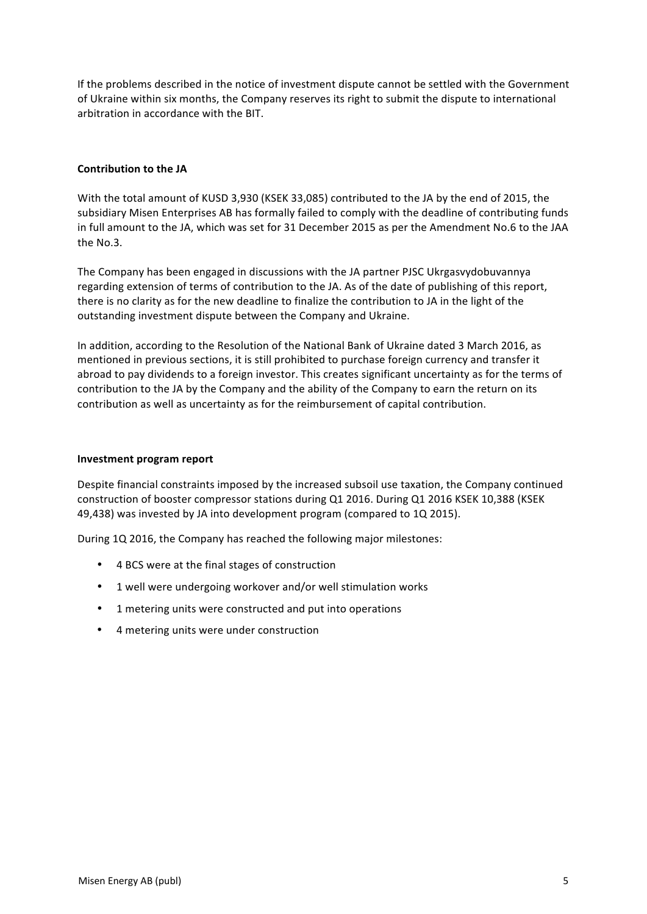If the problems described in the notice of investment dispute cannot be settled with the Government of Ukraine within six months, the Company reserves its right to submit the dispute to international arbitration in accordance with the BIT.

### **Contribution to the JA**

With the total amount of KUSD 3,930 (KSEK 33,085) contributed to the JA by the end of 2015, the subsidiary Misen Enterprises AB has formally failed to comply with the deadline of contributing funds in full amount to the JA, which was set for 31 December 2015 as per the Amendment No.6 to the JAA the No.3.

The Company has been engaged in discussions with the JA partner PJSC Ukrgasvydobuvannya regarding extension of terms of contribution to the JA. As of the date of publishing of this report, there is no clarity as for the new deadline to finalize the contribution to JA in the light of the outstanding investment dispute between the Company and Ukraine.

In addition, according to the Resolution of the National Bank of Ukraine dated 3 March 2016, as mentioned in previous sections, it is still prohibited to purchase foreign currency and transfer it abroad to pay dividends to a foreign investor. This creates significant uncertainty as for the terms of contribution to the JA by the Company and the ability of the Company to earn the return on its contribution as well as uncertainty as for the reimbursement of capital contribution.

### **Investment program report**

Despite financial constraints imposed by the increased subsoil use taxation, the Company continued construction of booster compressor stations during Q1 2016. During Q1 2016 KSEK 10,388 (KSEK 49,438) was invested by JA into development program (compared to 1Q 2015).

During 1Q 2016, the Company has reached the following major milestones:

- 4 BCS were at the final stages of construction
- 1 well were undergoing workover and/or well stimulation works
- 1 metering units were constructed and put into operations
- 4 metering units were under construction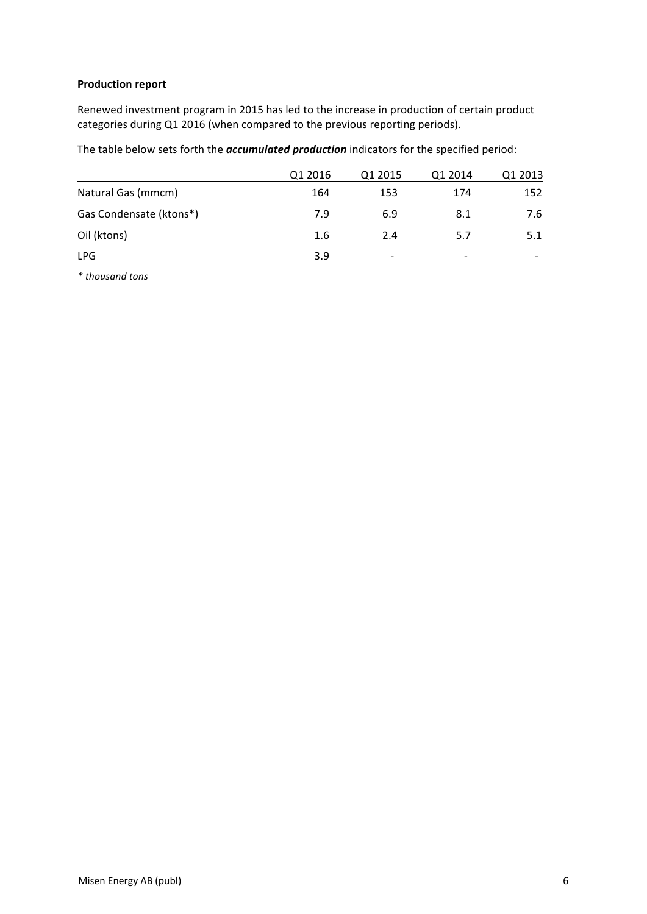## **Production report**

Renewed investment program in 2015 has led to the increase in production of certain product categories during Q1 2016 (when compared to the previous reporting periods).

The table below sets forth the *accumulated production* indicators for the specified period:

|                         | Q1 2016 | Q1 2015                  | Q1 2014 | Q1 2013 |
|-------------------------|---------|--------------------------|---------|---------|
| Natural Gas (mmcm)      | 164     | 153                      | 174     | 152     |
| Gas Condensate (ktons*) | 7.9     | 6.9                      | 8.1     | 7.6     |
| Oil (ktons)             | 1.6     | 2.4                      | 5.7     | 5.1     |
| <b>LPG</b>              | 3.9     | $\overline{\phantom{a}}$ | -       |         |
|                         |         |                          |         |         |

*\* thousand tons*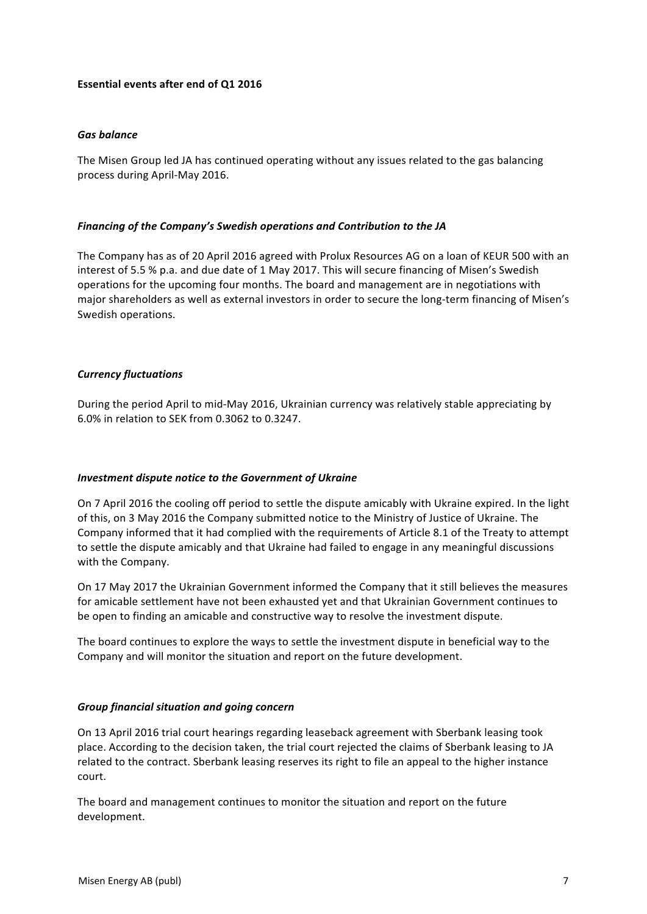### **Essential events after end of Q1 2016**

#### *Gas balance*

The Misen Group led JA has continued operating without any issues related to the gas balancing process during April-May 2016.

#### *Financing of the Company's Swedish operations and Contribution to the JA*

The Company has as of 20 April 2016 agreed with Prolux Resources AG on a loan of KEUR 500 with an interest of 5.5 % p.a. and due date of 1 May 2017. This will secure financing of Misen's Swedish operations for the upcoming four months. The board and management are in negotiations with major shareholders as well as external investors in order to secure the long-term financing of Misen's Swedish operations.

#### *Currency fluctuations*

During the period April to mid-May 2016, Ukrainian currency was relatively stable appreciating by 6.0% in relation to SEK from 0.3062 to 0.3247.

### *Investment dispute notice to the Government of Ukraine*

On 7 April 2016 the cooling off period to settle the dispute amicably with Ukraine expired. In the light of this, on 3 May 2016 the Company submitted notice to the Ministry of Justice of Ukraine. The Company informed that it had complied with the requirements of Article 8.1 of the Treaty to attempt to settle the dispute amicably and that Ukraine had failed to engage in any meaningful discussions with the Company.

On 17 May 2017 the Ukrainian Government informed the Company that it still believes the measures for amicable settlement have not been exhausted yet and that Ukrainian Government continues to be open to finding an amicable and constructive way to resolve the investment dispute.

The board continues to explore the ways to settle the investment dispute in beneficial way to the Company and will monitor the situation and report on the future development.

### *Group financial situation and going concern*

On 13 April 2016 trial court hearings regarding leaseback agreement with Sberbank leasing took place. According to the decision taken, the trial court rejected the claims of Sberbank leasing to JA related to the contract. Sberbank leasing reserves its right to file an appeal to the higher instance court.

The board and management continues to monitor the situation and report on the future development.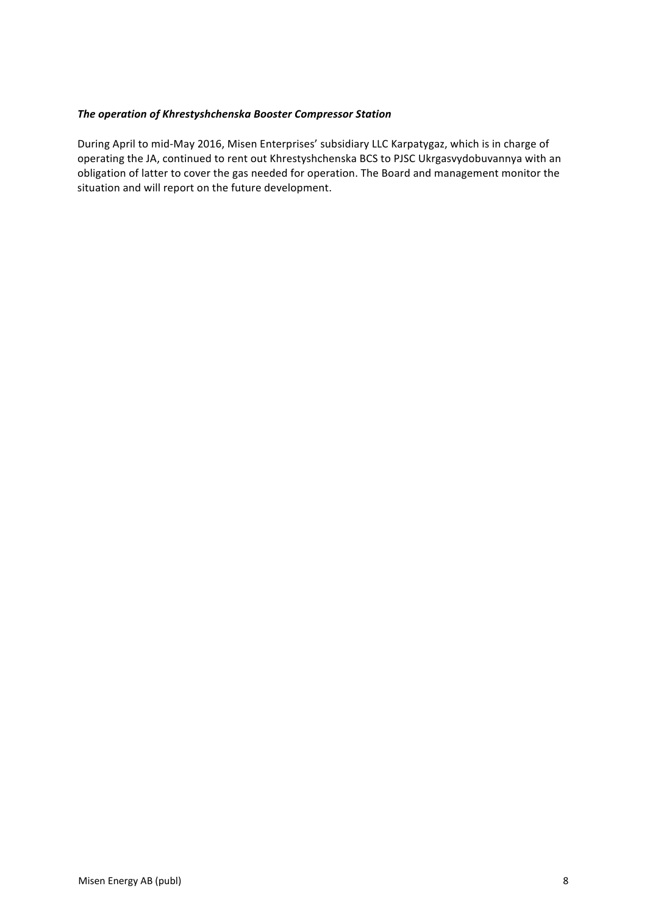## **The operation of Khrestyshchenska Booster Compressor Station**

During April to mid-May 2016, Misen Enterprises' subsidiary LLC Karpatygaz, which is in charge of operating the JA, continued to rent out Khrestyshchenska BCS to PJSC Ukrgasvydobuvannya with an obligation of latter to cover the gas needed for operation. The Board and management monitor the situation and will report on the future development.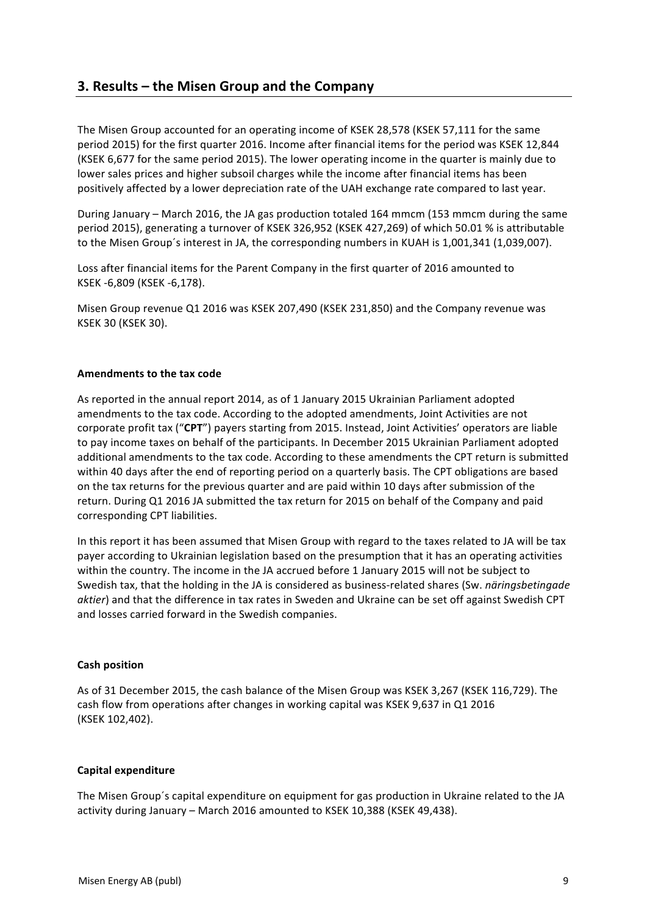# **3. Results – the Misen Group and the Company**

The Misen Group accounted for an operating income of KSEK 28,578 (KSEK 57,111 for the same period 2015) for the first quarter 2016. Income after financial items for the period was KSEK 12,844 (KSEK 6,677 for the same period 2015). The lower operating income in the quarter is mainly due to lower sales prices and higher subsoil charges while the income after financial items has been positively affected by a lower depreciation rate of the UAH exchange rate compared to last year.

During January – March 2016, the JA gas production totaled 164 mmcm (153 mmcm during the same period 2015), generating a turnover of KSEK 326,952 (KSEK 427,269) of which 50.01 % is attributable to the Misen Group's interest in JA, the corresponding numbers in KUAH is 1,001,341 (1,039,007).

Loss after financial items for the Parent Company in the first quarter of 2016 amounted to KSEK -6,809 (KSEK -6,178).

Misen Group revenue Q1 2016 was KSEK 207,490 (KSEK 231,850) and the Company revenue was KSEK 30 (KSEK 30).

### **Amendments to the tax code**

As reported in the annual report 2014, as of 1 January 2015 Ukrainian Parliament adopted amendments to the tax code. According to the adopted amendments, Joint Activities are not corporate profit tax ("CPT") payers starting from 2015. Instead, Joint Activities' operators are liable to pay income taxes on behalf of the participants. In December 2015 Ukrainian Parliament adopted additional amendments to the tax code. According to these amendments the CPT return is submitted within 40 days after the end of reporting period on a quarterly basis. The CPT obligations are based on the tax returns for the previous quarter and are paid within 10 days after submission of the return. During Q1 2016 JA submitted the tax return for 2015 on behalf of the Company and paid corresponding CPT liabilities.

In this report it has been assumed that Misen Group with regard to the taxes related to JA will be tax payer according to Ukrainian legislation based on the presumption that it has an operating activities within the country. The income in the JA accrued before 1 January 2015 will not be subject to Swedish tax, that the holding in the JA is considered as business-related shares (Sw. *näringsbetingade aktier*) and that the difference in tax rates in Sweden and Ukraine can be set off against Swedish CPT and losses carried forward in the Swedish companies.

#### **Cash position**

As of 31 December 2015, the cash balance of the Misen Group was KSEK 3,267 (KSEK 116,729). The cash flow from operations after changes in working capital was KSEK 9,637 in Q1 2016 (KSEK 102,402). 

### **Capital expenditure**

The Misen Group's capital expenditure on equipment for gas production in Ukraine related to the JA activity during January - March 2016 amounted to KSEK 10,388 (KSEK 49,438).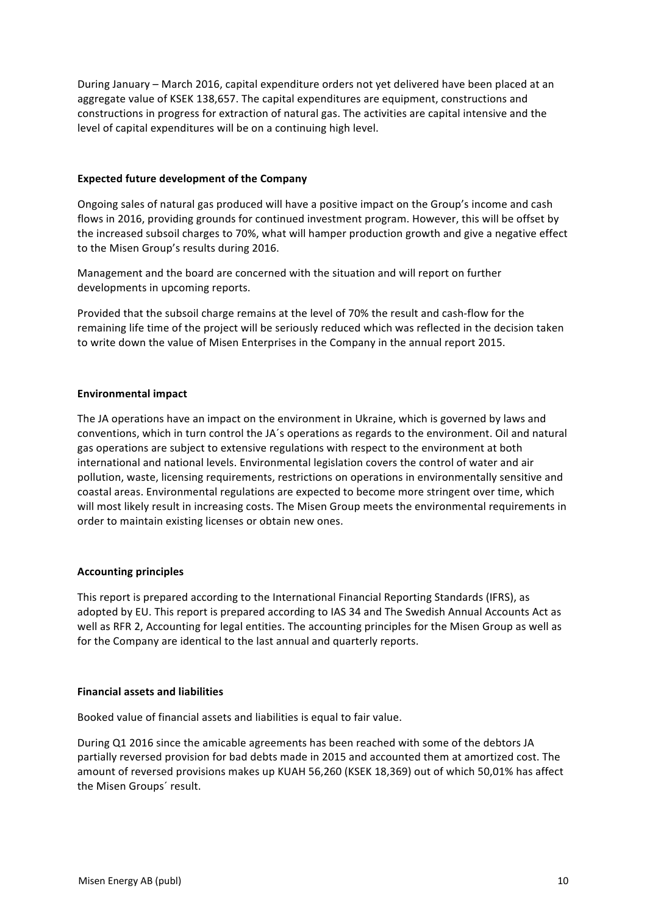During January – March 2016, capital expenditure orders not yet delivered have been placed at an aggregate value of KSEK 138,657. The capital expenditures are equipment, constructions and constructions in progress for extraction of natural gas. The activities are capital intensive and the level of capital expenditures will be on a continuing high level.

### **Expected future development of the Company**

Ongoing sales of natural gas produced will have a positive impact on the Group's income and cash flows in 2016, providing grounds for continued investment program. However, this will be offset by the increased subsoil charges to 70%, what will hamper production growth and give a negative effect to the Misen Group's results during 2016.

Management and the board are concerned with the situation and will report on further developments in upcoming reports.

Provided that the subsoil charge remains at the level of 70% the result and cash-flow for the remaining life time of the project will be seriously reduced which was reflected in the decision taken to write down the value of Misen Enterprises in the Company in the annual report 2015.

## **Environmental impact**

The JA operations have an impact on the environment in Ukraine, which is governed by laws and conventions, which in turn control the JA's operations as regards to the environment. Oil and natural gas operations are subject to extensive regulations with respect to the environment at both international and national levels. Environmental legislation covers the control of water and air pollution, waste, licensing requirements, restrictions on operations in environmentally sensitive and coastal areas. Environmental regulations are expected to become more stringent over time, which will most likely result in increasing costs. The Misen Group meets the environmental requirements in order to maintain existing licenses or obtain new ones.

## **Accounting principles**

This report is prepared according to the International Financial Reporting Standards (IFRS), as adopted by EU. This report is prepared according to IAS 34 and The Swedish Annual Accounts Act as well as RFR 2, Accounting for legal entities. The accounting principles for the Misen Group as well as for the Company are identical to the last annual and quarterly reports.

### **Financial assets and liabilities**

Booked value of financial assets and liabilities is equal to fair value.

During Q1 2016 since the amicable agreements has been reached with some of the debtors JA partially reversed provision for bad debts made in 2015 and accounted them at amortized cost. The amount of reversed provisions makes up KUAH 56,260 (KSEK 18,369) out of which 50,01% has affect the Misen Groups' result.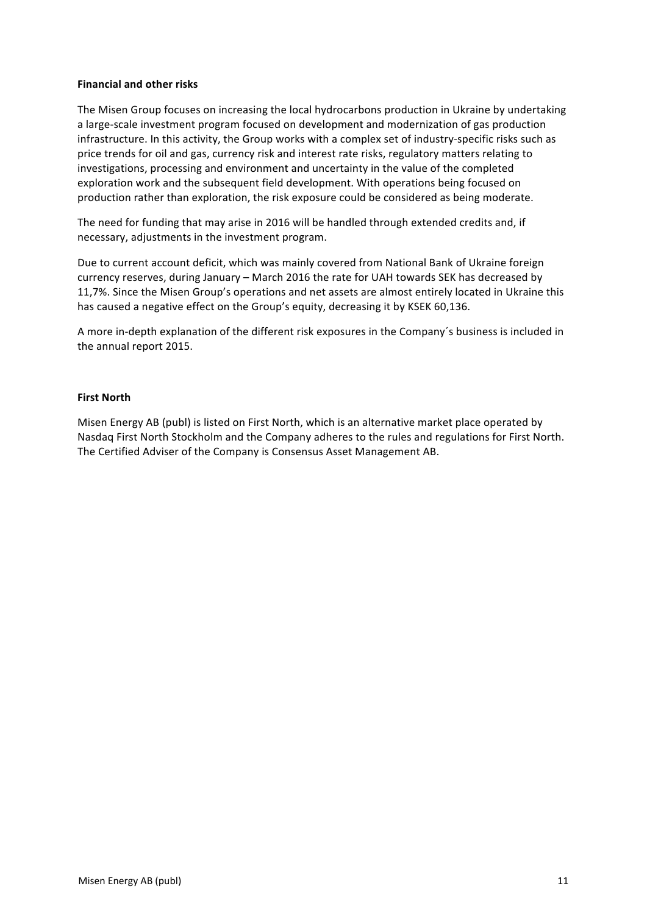#### **Financial and other risks**

The Misen Group focuses on increasing the local hydrocarbons production in Ukraine by undertaking a large-scale investment program focused on development and modernization of gas production infrastructure. In this activity, the Group works with a complex set of industry-specific risks such as price trends for oil and gas, currency risk and interest rate risks, regulatory matters relating to investigations, processing and environment and uncertainty in the value of the completed exploration work and the subsequent field development. With operations being focused on production rather than exploration, the risk exposure could be considered as being moderate.

The need for funding that may arise in 2016 will be handled through extended credits and, if necessary, adjustments in the investment program.

Due to current account deficit, which was mainly covered from National Bank of Ukraine foreign currency reserves, during January – March 2016 the rate for UAH towards SEK has decreased by 11,7%. Since the Misen Group's operations and net assets are almost entirely located in Ukraine this has caused a negative effect on the Group's equity, decreasing it by KSEK 60,136.

A more in-depth explanation of the different risk exposures in the Company's business is included in the annual report 2015.

#### **First North**

Misen Energy AB (publ) is listed on First North, which is an alternative market place operated by Nasdaq First North Stockholm and the Company adheres to the rules and regulations for First North. The Certified Adviser of the Company is Consensus Asset Management AB.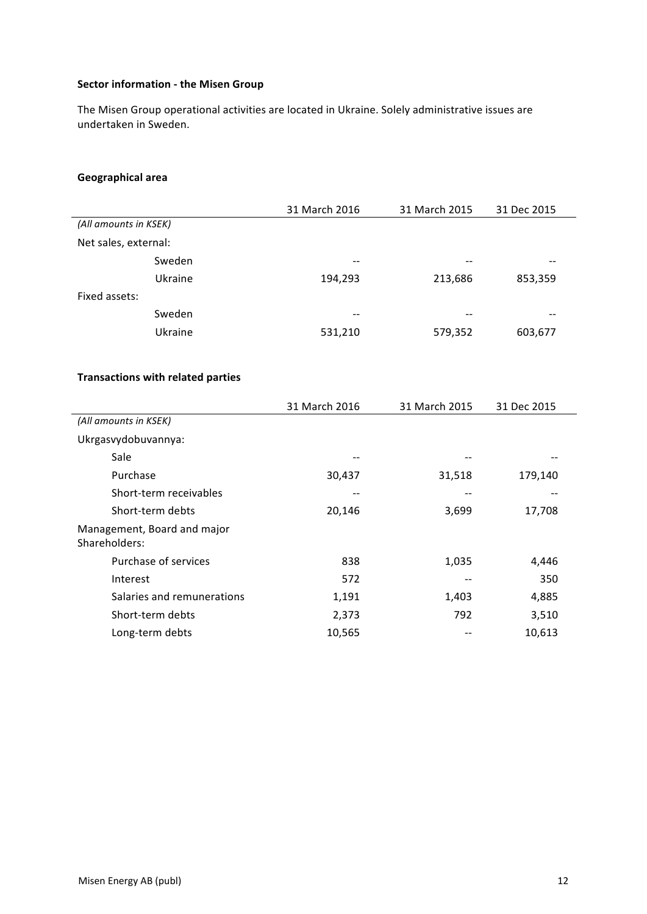## **Sector information - the Misen Group**

The Misen Group operational activities are located in Ukraine. Solely administrative issues are undertaken in Sweden.

## **Geographical area**

|                       |         | 31 March 2016 | 31 March 2015 | 31 Dec 2015 |
|-----------------------|---------|---------------|---------------|-------------|
| (All amounts in KSEK) |         |               |               |             |
| Net sales, external:  |         |               |               |             |
|                       | Sweden  | $- -$         | $- -$         | --          |
|                       | Ukraine | 194,293       | 213,686       | 853,359     |
| Fixed assets:         |         |               |               |             |
|                       | Sweden  | $- -$         | $- -$         | --          |
|                       | Ukraine | 531,210       | 579,352       | 603,677     |

## **Transactions with related parties**

|                                              | 31 March 2016 | 31 March 2015 | 31 Dec 2015 |
|----------------------------------------------|---------------|---------------|-------------|
| (All amounts in KSEK)                        |               |               |             |
| Ukrgasvydobuvannya:                          |               |               |             |
| Sale                                         |               | --            |             |
| Purchase                                     | 30,437        | 31,518        | 179,140     |
| Short-term receivables                       |               |               |             |
| Short-term debts                             | 20,146        | 3,699         | 17,708      |
| Management, Board and major<br>Shareholders: |               |               |             |
| Purchase of services                         | 838           | 1,035         | 4,446       |
| Interest                                     | 572           | --            | 350         |
| Salaries and remunerations                   | 1,191         | 1,403         | 4,885       |
| Short-term debts                             | 2,373         | 792           | 3,510       |
| Long-term debts                              | 10,565        |               | 10,613      |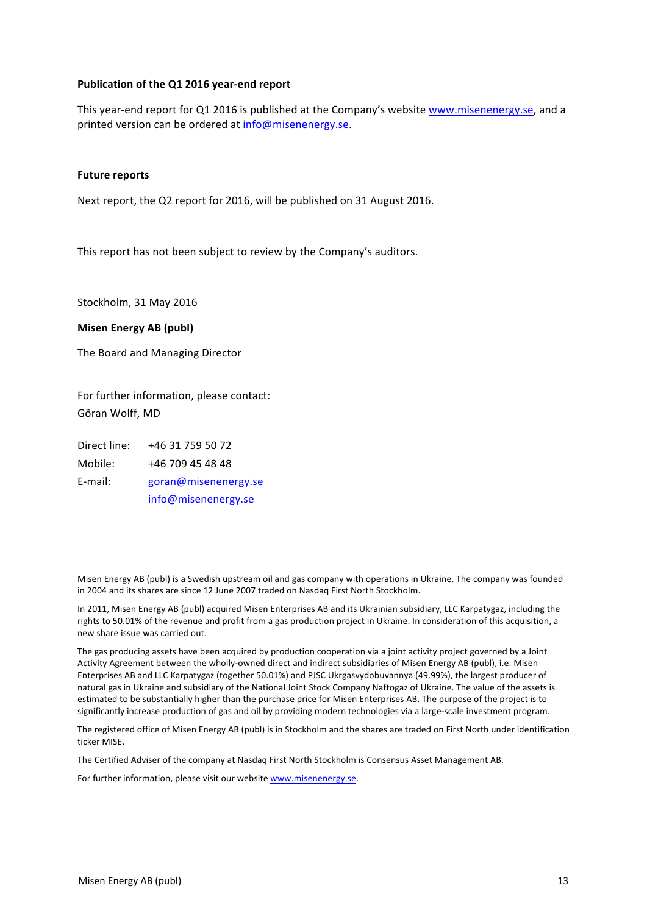#### **Publication of the Q1 2016 year-end report**

This year-end report for Q1 2016 is published at the Company's website www.misenenergy.se, and a printed version can be ordered at info@misenenergy.se.

#### **Future reports**

Next report, the Q2 report for 2016, will be published on 31 August 2016.

This report has not been subject to review by the Company's auditors.

Stockholm, 31 May 2016

#### **Misen Energy AB (publ)**

The Board and Managing Director

For further information, please contact: Göran Wolff, MD

Direct line: +46 31 759 50 72 Mobile: +46 709 45 48 48 E-mail: goran@misenenergy.se info@misenenergy.se

Misen Energy AB (publ) is a Swedish upstream oil and gas company with operations in Ukraine. The company was founded in 2004 and its shares are since 12 June 2007 traded on Nasdaq First North Stockholm.

In 2011, Misen Energy AB (publ) acquired Misen Enterprises AB and its Ukrainian subsidiary, LLC Karpatygaz, including the rights to 50.01% of the revenue and profit from a gas production project in Ukraine. In consideration of this acquisition, a new share issue was carried out.

The gas producing assets have been acquired by production cooperation via a joint activity project governed by a Joint Activity Agreement between the wholly-owned direct and indirect subsidiaries of Misen Energy AB (publ), i.e. Misen Enterprises AB and LLC Karpatygaz (together 50.01%) and PJSC Ukrgasvydobuvannya (49.99%), the largest producer of natural gas in Ukraine and subsidiary of the National Joint Stock Company Naftogaz of Ukraine. The value of the assets is estimated to be substantially higher than the purchase price for Misen Enterprises AB. The purpose of the project is to significantly increase production of gas and oil by providing modern technologies via a large-scale investment program.

The registered office of Misen Energy AB (publ) is in Stockholm and the shares are traded on First North under identification ticker MISE.

The Certified Adviser of the company at Nasdaq First North Stockholm is Consensus Asset Management AB.

For further information, please visit our website www.misenenergy.se.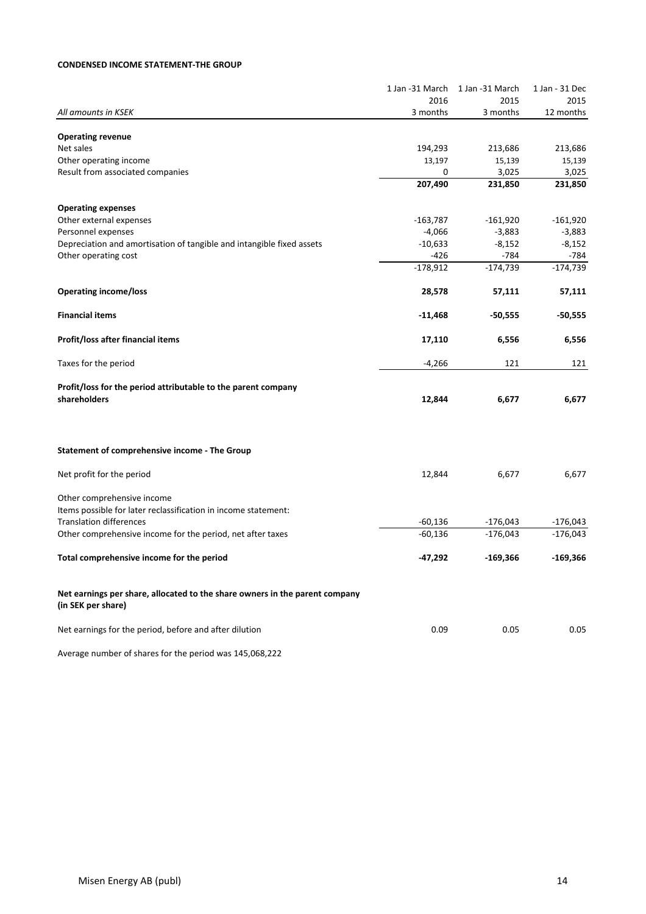#### **CONDENSED INCOME STATEMENT-THE GROUP**

|                                                                             | 1 Jan -31 March | 1 Jan -31 March | 1 Jan - 31 Dec |
|-----------------------------------------------------------------------------|-----------------|-----------------|----------------|
|                                                                             | 2016            | 2015            | 2015           |
| All amounts in KSEK                                                         | 3 months        | 3 months        | 12 months      |
|                                                                             |                 |                 |                |
| <b>Operating revenue</b>                                                    |                 |                 |                |
| Net sales                                                                   | 194,293         | 213,686         | 213,686        |
| Other operating income                                                      | 13,197          | 15,139          | 15,139         |
| Result from associated companies                                            | 0               | 3,025           | 3,025          |
|                                                                             | 207,490         | 231,850         | 231,850        |
| <b>Operating expenses</b>                                                   |                 |                 |                |
| Other external expenses                                                     | $-163,787$      | $-161,920$      | $-161,920$     |
| Personnel expenses                                                          | $-4,066$        | $-3,883$        | $-3,883$       |
| Depreciation and amortisation of tangible and intangible fixed assets       | $-10,633$       | $-8,152$        | $-8,152$       |
| Other operating cost                                                        | $-426$          | $-784$          | $-784$         |
|                                                                             | $-178,912$      | $-174,739$      | $-174,739$     |
|                                                                             |                 |                 |                |
| <b>Operating income/loss</b>                                                | 28,578          | 57,111          | 57,111         |
|                                                                             |                 |                 |                |
| <b>Financial items</b>                                                      | $-11,468$       | -50,555         | $-50,555$      |
|                                                                             |                 |                 |                |
| Profit/loss after financial items                                           | 17,110          | 6,556           | 6,556          |
| Taxes for the period                                                        | $-4,266$        | 121             | 121            |
|                                                                             |                 |                 |                |
| Profit/loss for the period attributable to the parent company               |                 |                 |                |
| shareholders                                                                | 12,844          | 6,677           | 6,677          |
|                                                                             |                 |                 |                |
|                                                                             |                 |                 |                |
| Statement of comprehensive income - The Group                               |                 |                 |                |
| Net profit for the period                                                   | 12,844          | 6,677           | 6,677          |
|                                                                             |                 |                 |                |
| Other comprehensive income                                                  |                 |                 |                |
| Items possible for later reclassification in income statement:              |                 |                 |                |
| <b>Translation differences</b>                                              | $-60,136$       | $-176,043$      | $-176,043$     |
| Other comprehensive income for the period, net after taxes                  | $-60,136$       | $-176,043$      | $-176,043$     |
|                                                                             |                 |                 |                |
| Total comprehensive income for the period                                   | $-47,292$       | -169,366        | $-169,366$     |
|                                                                             |                 |                 |                |
|                                                                             |                 |                 |                |
| Net earnings per share, allocated to the share owners in the parent company |                 |                 |                |
| (in SEK per share)                                                          |                 |                 |                |
| Net earnings for the period, before and after dilution                      | 0.09            | 0.05            | 0.05           |
|                                                                             |                 |                 |                |
| Average number of shares for the period was 145,068,222                     |                 |                 |                |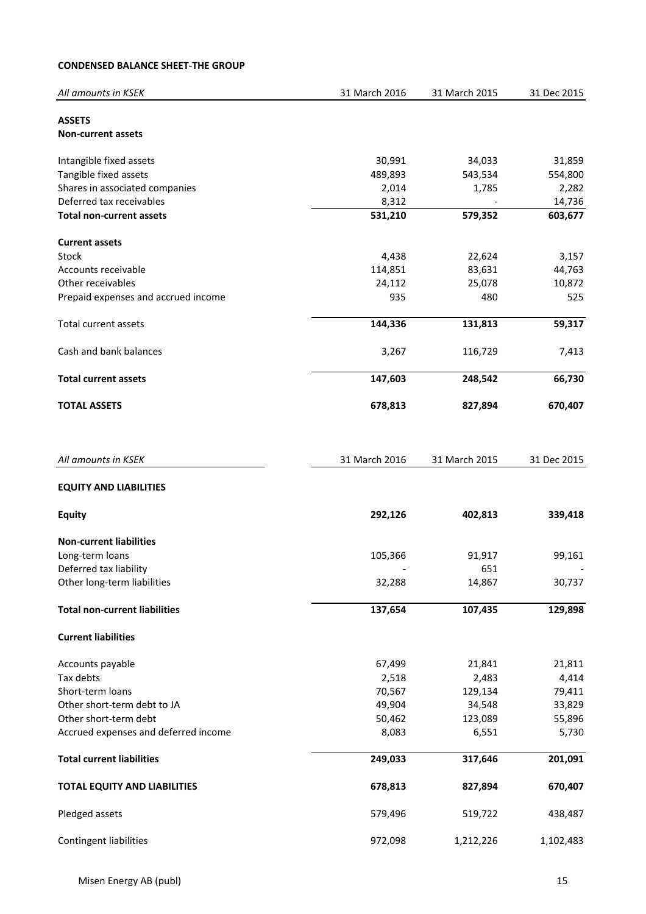## **CONDENSED BALANCE SHEET-THE GROUP**

| All amounts in KSEK                  | 31 March 2016 | 31 March 2015 | 31 Dec 2015 |
|--------------------------------------|---------------|---------------|-------------|
| <b>ASSETS</b>                        |               |               |             |
| <b>Non-current assets</b>            |               |               |             |
|                                      |               |               |             |
| Intangible fixed assets              | 30,991        | 34,033        | 31,859      |
| Tangible fixed assets                | 489,893       | 543,534       | 554,800     |
| Shares in associated companies       | 2,014         | 1,785         | 2,282       |
| Deferred tax receivables             | 8,312         |               | 14,736      |
| <b>Total non-current assets</b>      | 531,210       | 579,352       | 603,677     |
|                                      |               |               |             |
| <b>Current assets</b>                |               |               |             |
| Stock                                | 4,438         | 22,624        | 3,157       |
| Accounts receivable                  | 114,851       | 83,631        | 44,763      |
| Other receivables                    | 24,112        | 25,078        | 10,872      |
| Prepaid expenses and accrued income  | 935           | 480           | 525         |
| <b>Total current assets</b>          | 144,336       | 131,813       | 59,317      |
| Cash and bank balances               | 3,267         | 116,729       | 7,413       |
|                                      |               |               |             |
| <b>Total current assets</b>          | 147,603       | 248,542       | 66,730      |
| <b>TOTAL ASSETS</b>                  | 678,813       | 827,894       | 670,407     |
|                                      |               |               |             |
| All amounts in KSEK                  | 31 March 2016 | 31 March 2015 | 31 Dec 2015 |
| <b>EQUITY AND LIABILITIES</b>        |               |               |             |
| <b>Equity</b>                        | 292,126       | 402,813       | 339,418     |
| <b>Non-current liabilities</b>       |               |               |             |
| Long-term loans                      | 105,366       | 91,917        | 99,161      |
| Deferred tax liability               |               | 651           |             |
| Other long-term liabilities          | 32,288        | 14,867        | 30,737      |
|                                      |               |               |             |
| <b>Total non-current liabilities</b> | 137,654       | 107,435       | 129,898     |
| <b>Current liabilities</b>           |               |               |             |
| Accounts payable                     | 67,499        | 21,841        | 21,811      |
| Tax debts                            | 2,518         | 2,483         | 4,414       |
| Short-term loans                     | 70,567        | 129,134       | 79,411      |
| Other short-term debt to JA          | 49,904        | 34,548        | 33,829      |
| Other short-term debt                | 50,462        | 123,089       | 55,896      |
| Accrued expenses and deferred income | 8,083         | 6,551         | 5,730       |
| <b>Total current liabilities</b>     | 249,033       | 317,646       | 201,091     |
| <b>TOTAL EQUITY AND LIABILITIES</b>  | 678,813       | 827,894       | 670,407     |
|                                      |               |               |             |
| Pledged assets                       | 579,496       | 519,722       | 438,487     |
| <b>Contingent liabilities</b>        | 972,098       | 1,212,226     | 1,102,483   |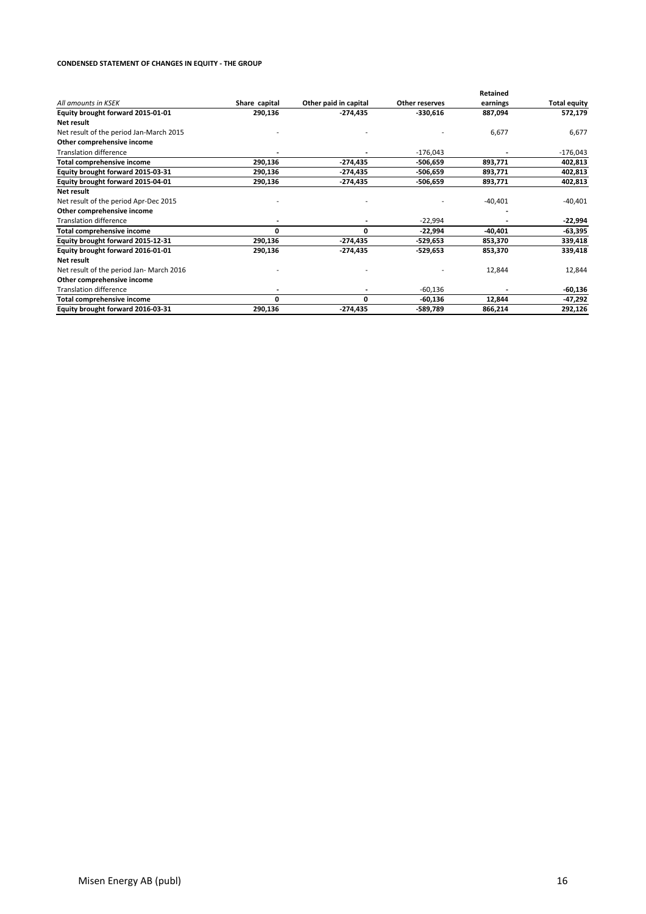#### **CONDENSED STATEMENT OF CHANGES IN EQUITY - THE GROUP**

|                                          |               |                       |                | Retained  |                     |
|------------------------------------------|---------------|-----------------------|----------------|-----------|---------------------|
| All amounts in KSEK                      | Share capital | Other paid in capital | Other reserves | earnings  | <b>Total equity</b> |
| Equity brought forward 2015-01-01        | 290,136       | $-274,435$            | $-330,616$     | 887,094   | 572,179             |
| Net result                               |               |                       |                |           |                     |
| Net result of the period Jan-March 2015  |               |                       |                | 6,677     | 6,677               |
| Other comprehensive income               |               |                       |                |           |                     |
| <b>Translation difference</b>            |               |                       | $-176,043$     |           | $-176,043$          |
| Total comprehensive income               | 290,136       | $-274,435$            | -506,659       | 893,771   | 402,813             |
| Equity brought forward 2015-03-31        | 290,136       | $-274,435$            | -506,659       | 893,771   | 402,813             |
| Equity brought forward 2015-04-01        | 290,136       | -274,435              | -506,659       | 893,771   | 402,813             |
| Net result                               |               |                       |                |           |                     |
| Net result of the period Apr-Dec 2015    |               |                       |                | $-40,401$ | $-40,401$           |
| Other comprehensive income               |               |                       |                |           |                     |
| <b>Translation difference</b>            |               |                       | $-22,994$      |           | -22,994             |
| Total comprehensive income               | 0             | 0                     | $-22,994$      | $-40,401$ | $-63,395$           |
| Equity brought forward 2015-12-31        | 290,136       | $-274,435$            | -529,653       | 853,370   | 339,418             |
| Equity brought forward 2016-01-01        | 290,136       | $-274,435$            | -529,653       | 853,370   | 339,418             |
| Net result                               |               |                       |                |           |                     |
| Net result of the period Jan- March 2016 |               |                       |                | 12,844    | 12,844              |
| Other comprehensive income               |               |                       |                |           |                     |
| <b>Translation difference</b>            |               |                       | $-60,136$      |           | $-60,136$           |
| Total comprehensive income               | 0             | 0                     | $-60,136$      | 12,844    | -47,292             |
| Equity brought forward 2016-03-31        | 290,136       | $-274,435$            | -589,789       | 866,214   | 292,126             |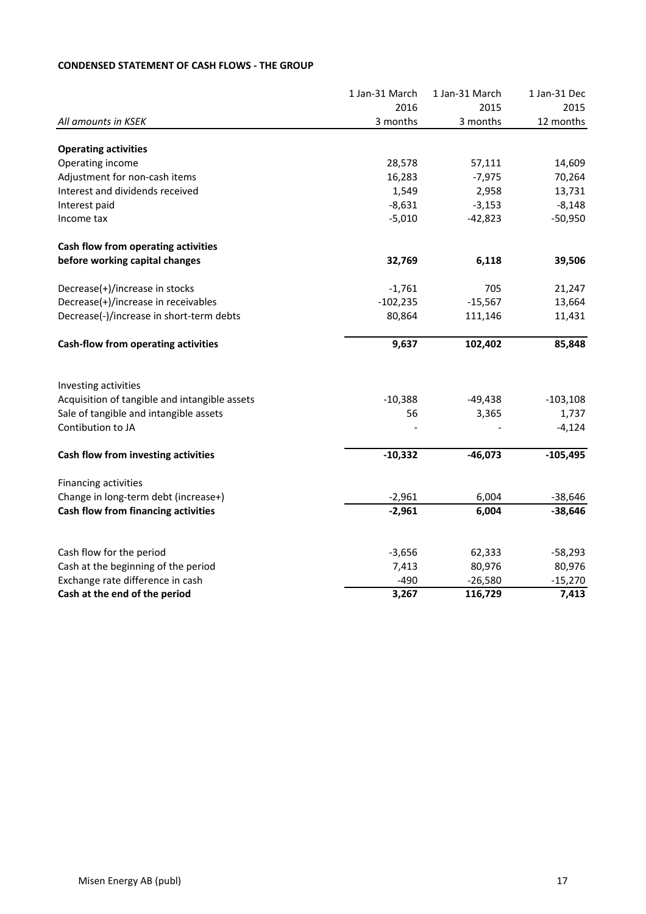## **CONDENSED STATEMENT OF CASH FLOWS - THE GROUP**

|                                               | 1 Jan-31 March | 1 Jan-31 March | 1 Jan-31 Dec |
|-----------------------------------------------|----------------|----------------|--------------|
|                                               | 2016           | 2015           | 2015         |
| All amounts in KSEK                           | 3 months       | 3 months       | 12 months    |
| <b>Operating activities</b>                   |                |                |              |
| Operating income                              | 28,578         | 57,111         | 14,609       |
| Adjustment for non-cash items                 | 16,283         | $-7,975$       | 70,264       |
| Interest and dividends received               | 1,549          | 2,958          | 13,731       |
| Interest paid                                 | $-8,631$       | $-3,153$       | $-8,148$     |
| Income tax                                    | $-5,010$       | $-42,823$      | $-50,950$    |
| Cash flow from operating activities           |                |                |              |
| before working capital changes                | 32,769         | 6,118          | 39,506       |
| Decrease(+)/increase in stocks                | $-1,761$       | 705            | 21,247       |
| Decrease(+)/increase in receivables           | $-102,235$     | $-15,567$      | 13,664       |
| Decrease(-)/increase in short-term debts      | 80,864         | 111,146        | 11,431       |
| <b>Cash-flow from operating activities</b>    | 9,637          | 102,402        | 85,848       |
| Investing activities                          |                |                |              |
| Acquisition of tangible and intangible assets | $-10,388$      | $-49,438$      | $-103,108$   |
| Sale of tangible and intangible assets        | 56             | 3,365          | 1,737        |
| Contibution to JA                             |                |                | $-4,124$     |
| Cash flow from investing activities           | $-10,332$      | $-46,073$      | $-105,495$   |
| Financing activities                          |                |                |              |
| Change in long-term debt (increase+)          | $-2,961$       | 6,004          | $-38,646$    |
| Cash flow from financing activities           | $-2,961$       | 6,004          | $-38,646$    |
|                                               |                |                |              |
| Cash flow for the period                      | $-3,656$       | 62,333         | $-58,293$    |
| Cash at the beginning of the period           | 7,413          | 80,976         | 80,976       |
| Exchange rate difference in cash              | $-490$         | $-26,580$      | $-15,270$    |
| Cash at the end of the period                 | 3,267          | 116,729        | 7,413        |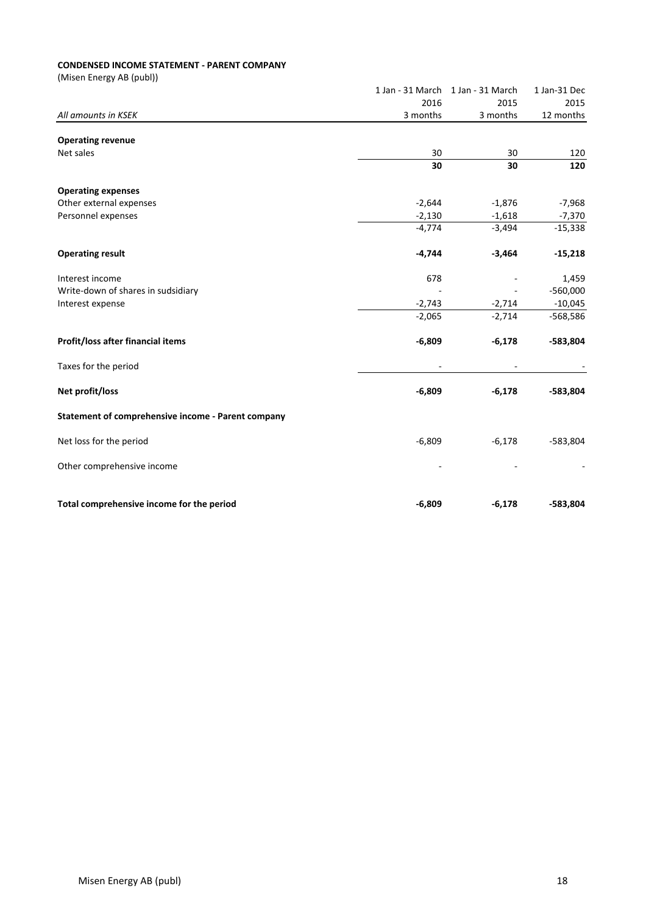#### **CONDENSED INCOME STATEMENT - PARENT COMPANY**

|                                                    |          | 1 Jan - 31 March 1 Jan - 31 March | 1 Jan-31 Dec |
|----------------------------------------------------|----------|-----------------------------------|--------------|
|                                                    | 2016     | 2015                              | 2015         |
| All amounts in KSEK                                | 3 months | 3 months                          | 12 months    |
|                                                    |          |                                   |              |
| <b>Operating revenue</b><br>Net sales              | 30       | 30                                | 120          |
|                                                    | 30       | 30                                | 120          |
|                                                    |          |                                   |              |
| <b>Operating expenses</b>                          |          |                                   |              |
| Other external expenses                            | $-2,644$ | $-1,876$                          | $-7,968$     |
| Personnel expenses                                 | $-2,130$ | $-1,618$                          | $-7,370$     |
|                                                    | $-4,774$ | $-3,494$                          | $-15,338$    |
| <b>Operating result</b>                            | $-4,744$ | $-3,464$                          | $-15,218$    |
| Interest income                                    | 678      |                                   | 1,459        |
| Write-down of shares in sudsidiary                 |          |                                   | $-560,000$   |
| Interest expense                                   | $-2,743$ | $-2,714$                          | $-10,045$    |
|                                                    | $-2,065$ | $-2,714$                          | -568,586     |
| Profit/loss after financial items                  | $-6,809$ | $-6,178$                          | $-583,804$   |
| Taxes for the period                               |          |                                   |              |
| Net profit/loss                                    | $-6,809$ | $-6,178$                          | $-583,804$   |
| Statement of comprehensive income - Parent company |          |                                   |              |
| Net loss for the period                            | $-6,809$ | $-6,178$                          | $-583,804$   |
| Other comprehensive income                         |          |                                   |              |
| Total comprehensive income for the period          | $-6,809$ | $-6,178$                          | $-583,804$   |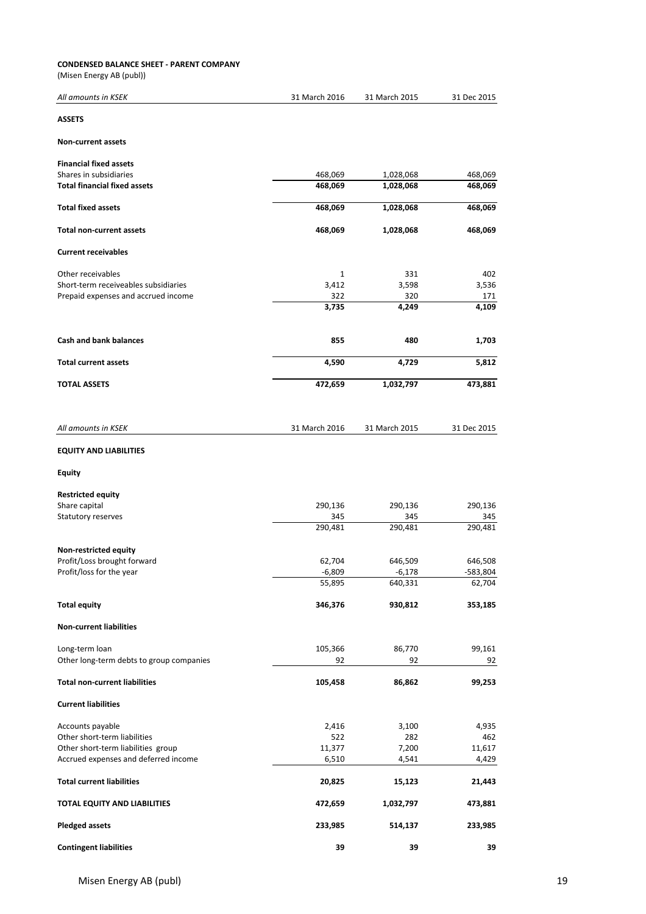#### **CONDENSED BALANCE SHEET - PARENT COMPANY**

| All amounts in KSEK                      | 31 March 2016 | 31 March 2015       | 31 Dec 2015 |
|------------------------------------------|---------------|---------------------|-------------|
| <b>ASSETS</b>                            |               |                     |             |
| <b>Non-current assets</b>                |               |                     |             |
| <b>Financial fixed assets</b>            |               |                     |             |
| Shares in subsidiaries                   | 468,069       | 1,028,068           | 468,069     |
| <b>Total financial fixed assets</b>      | 468,069       | 1,028,068           | 468,069     |
| <b>Total fixed assets</b>                | 468,069       | 1,028,068           | 468,069     |
| <b>Total non-current assets</b>          | 468,069       | 1,028,068           | 468,069     |
| <b>Current receivables</b>               |               |                     |             |
| Other receivables                        | $\mathbf{1}$  | 331                 | 402         |
| Short-term receiveables subsidiaries     | 3,412         | 3,598               | 3,536       |
| Prepaid expenses and accrued income      | 322           | 320                 | 171         |
|                                          | 3,735         | 4,249               | 4,109       |
| <b>Cash and bank balances</b>            | 855           | 480                 | 1,703       |
| <b>Total current assets</b>              | 4,590         | 4,729               | 5,812       |
| <b>TOTAL ASSETS</b>                      | 472,659       | 1,032,797           | 473,881     |
|                                          |               |                     |             |
| All amounts in KSEK                      | 31 March 2016 | 31 March 2015       | 31 Dec 2015 |
| <b>EQUITY AND LIABILITIES</b>            |               |                     |             |
| <b>Equity</b>                            |               |                     |             |
| <b>Restricted equity</b>                 |               |                     |             |
| Share capital                            | 290,136       | 290,136             | 290,136     |
| Statutory reserves                       | 345           | 345                 | 345         |
|                                          | 290,481       | 290,481             | 290,481     |
| Non-restricted equity                    |               |                     |             |
| Profit/Loss brought forward              | 62,704        | 646,509             | 646,508     |
| Profit/loss for the year                 | $-6,809$      | $-6,178$<br>640,331 | 583,804     |
|                                          | 55,895        |                     | 62,704      |
| <b>Total equity</b>                      | 346,376       | 930,812             | 353,185     |
| <b>Non-current liabilities</b>           |               |                     |             |
| Long-term loan                           | 105,366       | 86,770              | 99,161      |
| Other long-term debts to group companies | 92            | 92                  | 92          |
| <b>Total non-current liabilities</b>     | 105,458       | 86,862              | 99,253      |
| <b>Current liabilities</b>               |               |                     |             |
| Accounts payable                         | 2,416         | 3,100               | 4,935       |
| Other short-term liabilities             | 522           | 282                 | 462         |
| Other short-term liabilities group       | 11,377        | 7,200               | 11,617      |
| Accrued expenses and deferred income     | 6,510         | 4,541               | 4,429       |
| <b>Total current liabilities</b>         | 20,825        | 15,123              | 21,443      |
| TOTAL EQUITY AND LIABILITIES             | 472,659       | 1,032,797           | 473,881     |
| <b>Pledged assets</b>                    | 233,985       | 514,137             | 233,985     |
| <b>Contingent liabilities</b>            | 39            | 39                  | 39          |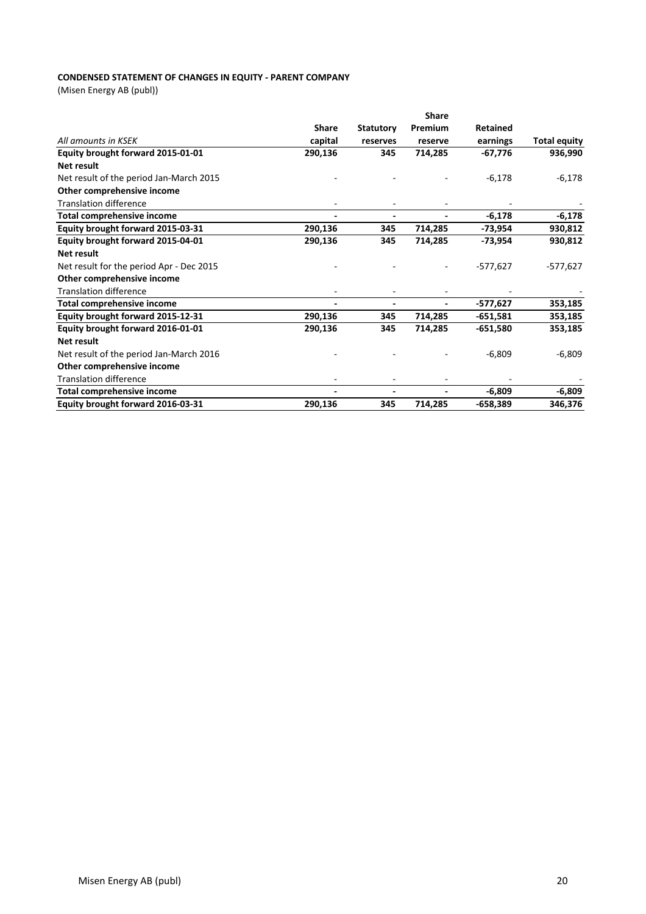## **CONDENSED STATEMENT OF CHANGES IN EQUITY - PARENT COMPANY**

|                                          |                              |                  | <b>Share</b> |                 |                     |
|------------------------------------------|------------------------------|------------------|--------------|-----------------|---------------------|
|                                          | <b>Share</b>                 | <b>Statutory</b> | Premium      | <b>Retained</b> |                     |
| All amounts in KSEK                      | capital                      | reserves         | reserve      | earnings        | <b>Total equity</b> |
| Equity brought forward 2015-01-01        | 290,136                      | 345              | 714,285      | $-67,776$       | 936,990             |
| Net result                               |                              |                  |              |                 |                     |
| Net result of the period Jan-March 2015  |                              |                  |              | $-6,178$        | $-6,178$            |
| Other comprehensive income               |                              |                  |              |                 |                     |
| <b>Translation difference</b>            |                              |                  |              |                 |                     |
| <b>Total comprehensive income</b>        | $\blacksquare$               | $\blacksquare$   |              | $-6,178$        | $-6,178$            |
| Equity brought forward 2015-03-31        | 290,136                      | 345              | 714,285      | $-73,954$       | 930,812             |
| Equity brought forward 2015-04-01        | 290,136                      | 345              | 714,285      | $-73,954$       | 930,812             |
| Net result                               |                              |                  |              |                 |                     |
| Net result for the period Apr - Dec 2015 |                              |                  |              | $-577,627$      | $-577,627$          |
| Other comprehensive income               |                              |                  |              |                 |                     |
| <b>Translation difference</b>            |                              |                  |              |                 |                     |
| Total comprehensive income               | $\qquad \qquad \blacksquare$ |                  |              | $-577,627$      | 353,185             |
| Equity brought forward 2015-12-31        | 290,136                      | 345              | 714,285      | $-651,581$      | 353,185             |
| Equity brought forward 2016-01-01        | 290,136                      | 345              | 714,285      | -651,580        | 353,185             |
| <b>Net result</b>                        |                              |                  |              |                 |                     |
| Net result of the period Jan-March 2016  |                              |                  |              | $-6,809$        | $-6,809$            |
| Other comprehensive income               |                              |                  |              |                 |                     |
| <b>Translation difference</b>            |                              |                  |              |                 |                     |
| <b>Total comprehensive income</b>        | $\blacksquare$               |                  |              | $-6,809$        | $-6,809$            |
| Equity brought forward 2016-03-31        | 290,136                      | 345              | 714,285      | $-658,389$      | 346,376             |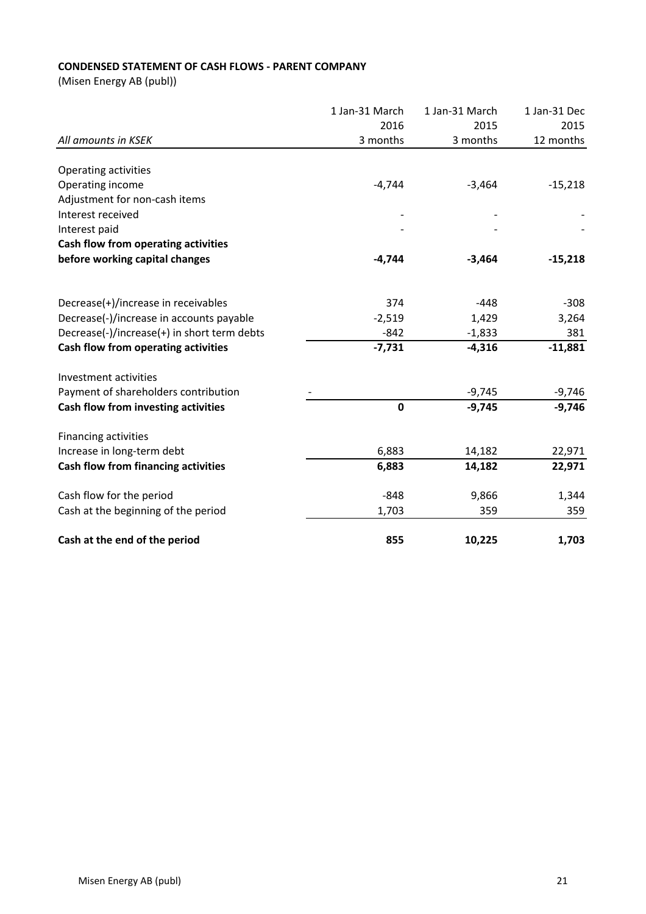## **CONDENSED STATEMENT OF CASH FLOWS - PARENT COMPANY**

|                                             | 1 Jan-31 March | 1 Jan-31 March | 1 Jan-31 Dec |
|---------------------------------------------|----------------|----------------|--------------|
|                                             | 2016           | 2015           | 2015         |
| All amounts in KSEK                         | 3 months       | 3 months       | 12 months    |
|                                             |                |                |              |
| Operating activities                        |                |                |              |
| Operating income                            | $-4,744$       | $-3,464$       | $-15,218$    |
| Adjustment for non-cash items               |                |                |              |
| Interest received                           |                |                |              |
| Interest paid                               |                |                |              |
| Cash flow from operating activities         |                |                |              |
| before working capital changes              | $-4,744$       | $-3,464$       | $-15,218$    |
|                                             |                |                |              |
| Decrease(+)/increase in receivables         | 374            | $-448$         | $-308$       |
| Decrease(-)/increase in accounts payable    | $-2,519$       | 1,429          | 3,264        |
| Decrease(-)/increase(+) in short term debts | $-842$         | $-1,833$       | 381          |
| Cash flow from operating activities         | $-7,731$       | $-4,316$       | $-11,881$    |
| Investment activities                       |                |                |              |
| Payment of shareholders contribution        |                | $-9,745$       | $-9,746$     |
| Cash flow from investing activities         | $\mathbf 0$    | $-9,745$       | $-9,746$     |
| Financing activities                        |                |                |              |
| Increase in long-term debt                  | 6,883          | 14,182         | 22,971       |
| Cash flow from financing activities         | 6,883          | 14,182         | 22,971       |
| Cash flow for the period                    | $-848$         | 9,866          | 1,344        |
| Cash at the beginning of the period         | 1,703          | 359            | 359          |
| Cash at the end of the period               | 855            | 10,225         | 1,703        |
|                                             |                |                |              |